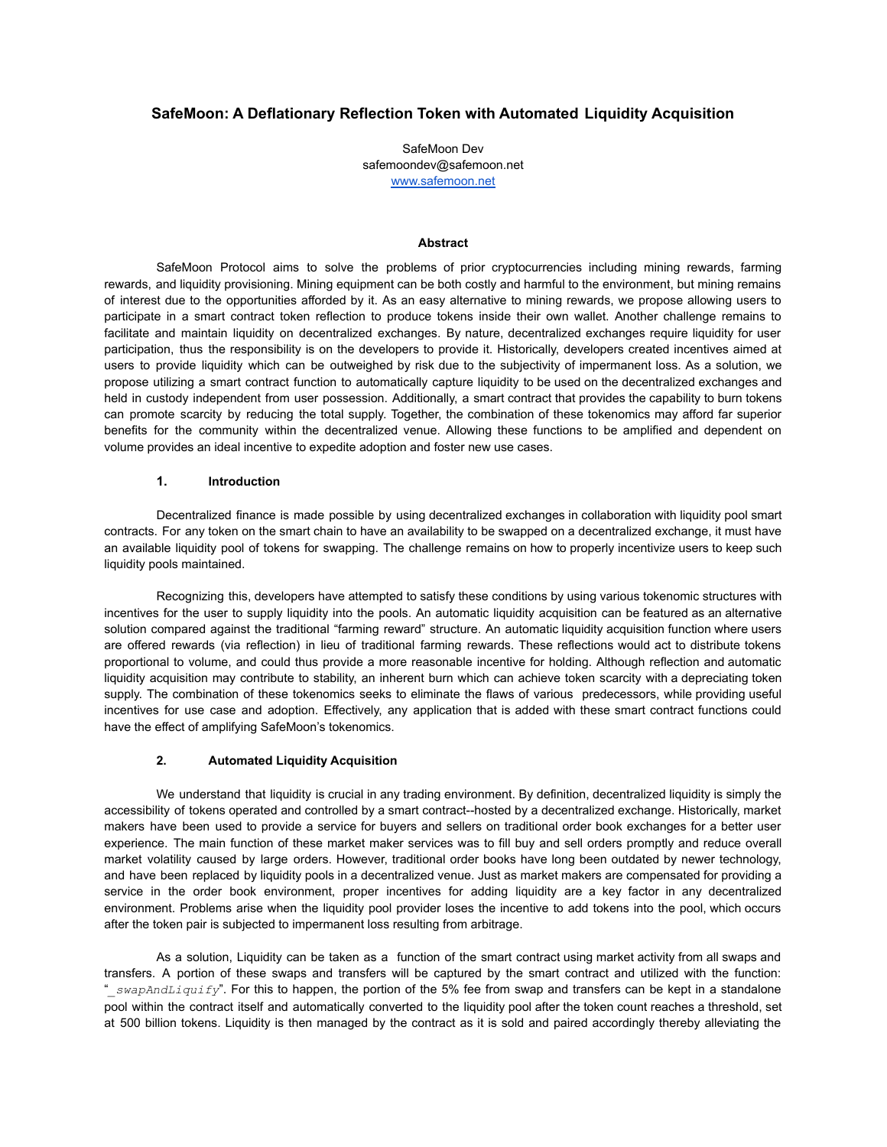# **SafeMoon: A Deflationary Reflection Token with Automated Liquidity Acquisition**

SafeMoon Dev safemoondev@safemoon.net [www.safemoon.net](http://www.safemoon.net)

#### **Abstract**

SafeMoon Protocol aims to solve the problems of prior cryptocurrencies including mining rewards, farming rewards, and liquidity provisioning. Mining equipment can be both costly and harmful to the environment, but mining remains of interest due to the opportunities afforded by it. As an easy alternative to mining rewards, we propose allowing users to participate in a smart contract token reflection to produce tokens inside their own wallet. Another challenge remains to facilitate and maintain liquidity on decentralized exchanges. By nature, decentralized exchanges require liquidity for user participation, thus the responsibility is on the developers to provide it. Historically, developers created incentives aimed at users to provide liquidity which can be outweighed by risk due to the subjectivity of impermanent loss. As a solution, we propose utilizing a smart contract function to automatically capture liquidity to be used on the decentralized exchanges and held in custody independent from user possession. Additionally, a smart contract that provides the capability to burn tokens can promote scarcity by reducing the total supply. Together, the combination of these tokenomics may afford far superior benefits for the community within the decentralized venue. Allowing these functions to be amplified and dependent on volume provides an ideal incentive to expedite adoption and foster new use cases.

## **1. Introduction**

Decentralized finance is made possible by using decentralized exchanges in collaboration with liquidity pool smart contracts. For any token on the smart chain to have an availability to be swapped on a decentralized exchange, it must have an available liquidity pool of tokens for swapping. The challenge remains on how to properly incentivize users to keep such liquidity pools maintained.

Recognizing this, developers have attempted to satisfy these conditions by using various tokenomic structures with incentives for the user to supply liquidity into the pools. An automatic liquidity acquisition can be featured as an alternative solution compared against the traditional "farming reward" structure. An automatic liquidity acquisition function where users are offered rewards (via reflection) in lieu of traditional farming rewards. These reflections would act to distribute tokens proportional to volume, and could thus provide a more reasonable incentive for holding. Although reflection and automatic liquidity acquisition may contribute to stability, an inherent burn which can achieve token scarcity with a depreciating token supply. The combination of these tokenomics seeks to eliminate the flaws of various predecessors, while providing useful incentives for use case and adoption. Effectively, any application that is added with these smart contract functions could have the effect of amplifying SafeMoon's tokenomics.

#### **2. Automated Liquidity Acquisition**

We understand that liquidity is crucial in any trading environment. By definition, decentralized liquidity is simply the accessibility of tokens operated and controlled by a smart contract--hosted by a decentralized exchange. Historically, market makers have been used to provide a service for buyers and sellers on traditional order book exchanges for a better user experience. The main function of these market maker services was to fill buy and sell orders promptly and reduce overall market volatility caused by large orders. However, traditional order books have long been outdated by newer technology, and have been replaced by liquidity pools in a decentralized venue. Just as market makers are compensated for providing a service in the order book environment, proper incentives for adding liquidity are a key factor in any decentralized environment. Problems arise when the liquidity pool provider loses the incentive to add tokens into the pool, which occurs after the token pair is subjected to impermanent loss resulting from arbitrage.

As a solution, Liquidity can be taken as a function of the smart contract using market activity from all swaps and transfers. A portion of these swaps and transfers will be captured by the smart contract and utilized with the function: "*\_swapAndLiquify*". For this to happen, the portion of the 5% fee from swap and transfers can be kept in a standalone pool within the contract itself and automatically converted to the liquidity pool after the token count reaches a threshold, set at 500 billion tokens. Liquidity is then managed by the contract as it is sold and paired accordingly thereby alleviating the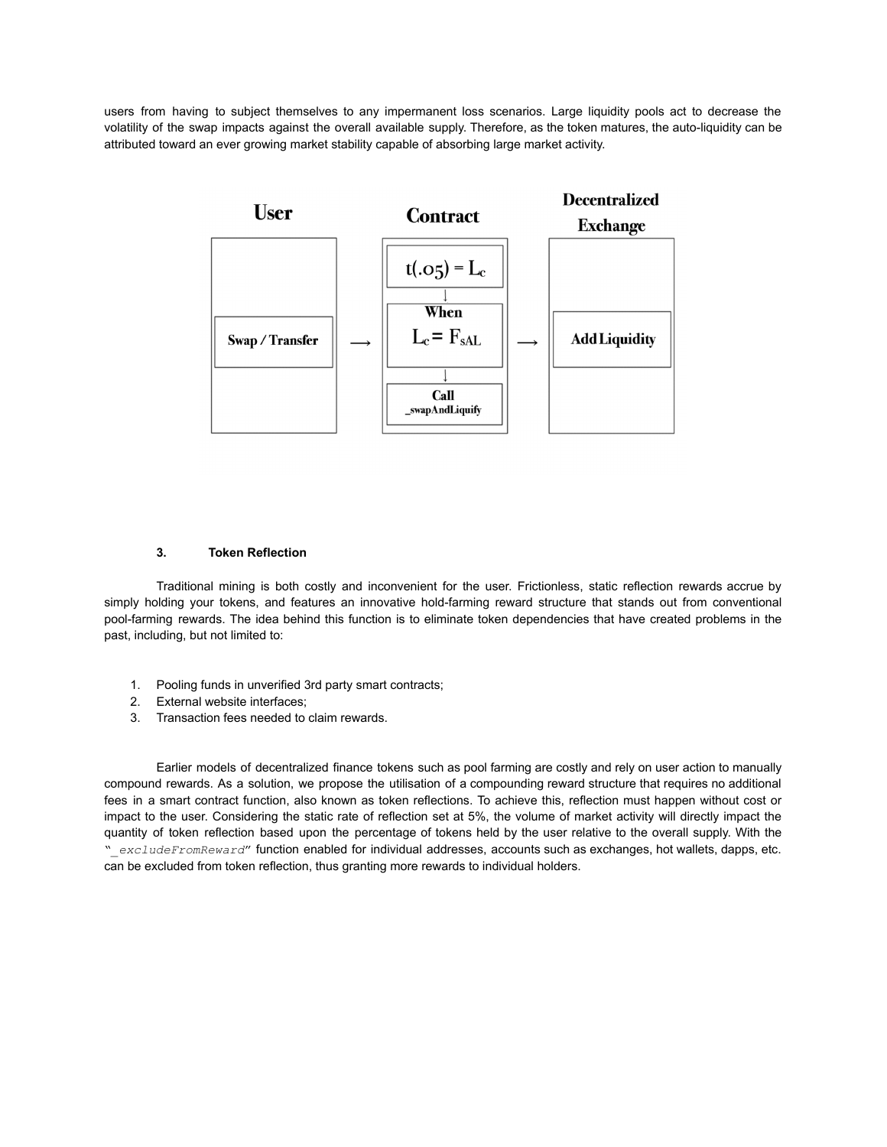users from having to subject themselves to any impermanent loss scenarios. Large liquidity pools act to decrease the volatility of the swap impacts against the overall available supply. Therefore, as the token matures, the auto-liquidity can be attributed toward an ever growing market stability capable of absorbing large market activity.



## **3. Token Reflection**

Traditional mining is both costly and inconvenient for the user. Frictionless, static reflection rewards accrue by simply holding your tokens, and features an innovative hold-farming reward structure that stands out from conventional pool-farming rewards. The idea behind this function is to eliminate token dependencies that have created problems in the past, including, but not limited to:

- 1. Pooling funds in unverified 3rd party smart contracts;
- 2. External website interfaces;
- 3. Transaction fees needed to claim rewards.

Earlier models of decentralized finance tokens such as pool farming are costly and rely on user action to manually compound rewards. As a solution, we propose the utilisation of a compounding reward structure that requires no additional fees in a smart contract function, also known as token reflections. To achieve this, reflection must happen without cost or impact to the user. Considering the static rate of reflection set at 5%, the volume of market activity will directly impact the quantity of token reflection based upon the percentage of tokens held by the user relative to the overall supply. With the "*\_excludeFromReward*" function enabled for individual addresses, accounts such as exchanges, hot wallets, dapps, etc. can be excluded from token reflection, thus granting more rewards to individual holders.